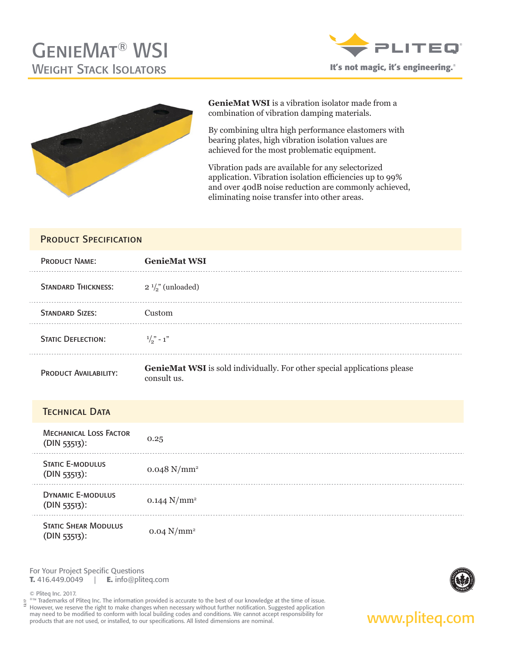



**GenieMat WSI** is a vibration isolator made from a combination of vibration damping materials.

By combining ultra high performance elastomers with bearing plates, high vibration isolation values are achieved for the most problematic equipment.

Vibration pads are available for any selectorized application. Vibration isolation efficiencies up to 99% and over 40dB noise reduction are commonly achieved, eliminating noise transfer into other areas.

### PRODUCT SPECIFICATION

| <b>PRODUCT NAME:</b>         | <b>GenieMat WSI</b>                                                                            |
|------------------------------|------------------------------------------------------------------------------------------------|
| <b>STANDARD THICKNESS:</b>   | $2\frac{1}{2}$ (unloaded)                                                                      |
| <b>STANDARD SIZES:</b>       | Custom                                                                                         |
| <b>STATIC DEFLECTION:</b>    | $\frac{1}{2}$ - 1"                                                                             |
| <b>PRODUCT AVAILABILITY:</b> | <b>GenieMat WSI</b> is sold individually. For other special applications please<br>consult us. |

| <b>TECHNICAL DATA</b>                            |                           |
|--------------------------------------------------|---------------------------|
| <b>MECHANICAL LOSS FACTOR</b><br>$(DIN 53513)$ : | 0.25                      |
| <b>STATIC E-MODULUS</b><br>$(DIN 53513)$ :       | $0.048$ N/mm <sup>2</sup> |
| <b>DYNAMIC E-MODULUS</b><br>$(DIN 53513)$ :      | 0.144 $N/mm^2$            |
| <b>STATIC SHEAR MODULUS</b><br>(DIN 53513):      | $0.04$ N/mm <sup>2</sup>  |

For Your Project Specific Questions **T.** 416.449.0049 | **E.** info@pliteq.com



®™ Trademarks of Pliteq Inc. The information provided is accurate to the best of our knowledge at the time of issue. However, we reserve the right to make changes when necessary without further notification. Suggested application may need to be modified to conform with local building codes and conditions. We cannot accept responsibility for **www.pliteg.com**<br>products that are not used, or installed, to our specifications. All listed dimensions are n 12.17